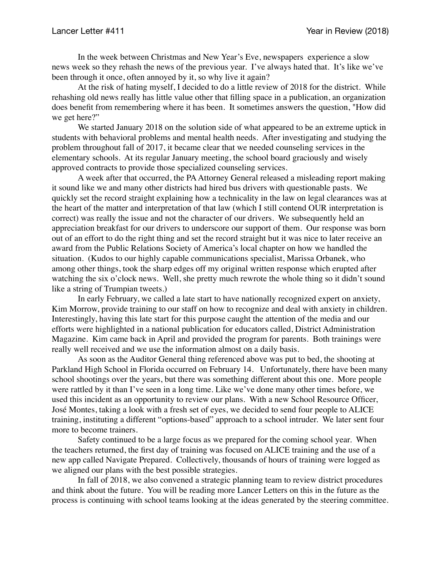In the week between Christmas and New Year's Eve, newspapers experience a slow news week so they rehash the news of the previous year. I've always hated that. It's like we've been through it once, often annoyed by it, so why live it again?

At the risk of hating myself, I decided to do a little review of 2018 for the district. While rehashing old news really has little value other that filling space in a publication, an organization does benefit from remembering where it has been. It sometimes answers the question, "How did we get here?"

We started January 2018 on the solution side of what appeared to be an extreme uptick in students with behavioral problems and mental health needs. After investigating and studying the problem throughout fall of 2017, it became clear that we needed counseling services in the elementary schools. At its regular January meeting, the school board graciously and wisely approved contracts to provide those specialized counseling services.

A week after that occurred, the PA Attorney General released a misleading report making it sound like we and many other districts had hired bus drivers with questionable pasts. We quickly set the record straight explaining how a technicality in the law on legal clearances was at the heart of the matter and interpretation of that law (which I still contend OUR interpretation is correct) was really the issue and not the character of our drivers. We subsequently held an appreciation breakfast for our drivers to underscore our support of them. Our response was born out of an effort to do the right thing and set the record straight but it was nice to later receive an award from the Public Relations Society of America's local chapter on how we handled the situation. (Kudos to our highly capable communications specialist, Marissa Orbanek, who among other things, took the sharp edges off my original written response which erupted after watching the six o'clock news. Well, she pretty much rewrote the whole thing so it didn't sound like a string of Trumpian tweets.)

In early February, we called a late start to have nationally recognized expert on anxiety, Kim Morrow, provide training to our staff on how to recognize and deal with anxiety in children. Interestingly, having this late start for this purpose caught the attention of the media and our efforts were highlighted in a national publication for educators called, District Administration Magazine. Kim came back in April and provided the program for parents. Both trainings were really well received and we use the information almost on a daily basis.

As soon as the Auditor General thing referenced above was put to bed, the shooting at Parkland High School in Florida occurred on February 14. Unfortunately, there have been many school shootings over the years, but there was something different about this one. More people were rattled by it than I've seen in a long time. Like we've done many other times before, we used this incident as an opportunity to review our plans. With a new School Resource Officer, José Montes, taking a look with a fresh set of eyes, we decided to send four people to ALICE training, instituting a different "options-based" approach to a school intruder. We later sent four more to become trainers.

Safety continued to be a large focus as we prepared for the coming school year. When the teachers returned, the first day of training was focused on ALICE training and the use of a new app called Navigate Prepared. Collectively, thousands of hours of training were logged as we aligned our plans with the best possible strategies.

In fall of 2018, we also convened a strategic planning team to review district procedures and think about the future. You will be reading more Lancer Letters on this in the future as the process is continuing with school teams looking at the ideas generated by the steering committee.